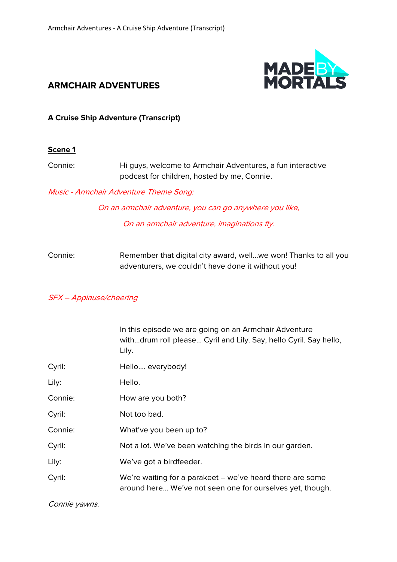

# **ARMCHAIR ADVENTURES**

### **A Cruise Ship Adventure (Transcript)**

#### **Scene 1**

Connie: Hi guys, welcome to Armchair Adventures, a fun interactive podcast for children, hosted by me, Connie.

Music - Armchair Adventure Theme Song:

On an armchair adventure, you can go anywhere you like,

On an armchair adventure, imaginations fly.

Connie: Remember that digital city award, well…we won! Thanks to all you adventurers, we couldn't have done it without you!

#### SFX – Applause/cheering

|         | In this episode we are going on an Armchair Adventure<br>withdrum roll please Cyril and Lily. Say, hello Cyril. Say hello,<br>Lily. |
|---------|-------------------------------------------------------------------------------------------------------------------------------------|
| Cyril:  | Hello everybody!                                                                                                                    |
| Lily:   | Hello.                                                                                                                              |
| Connie: | How are you both?                                                                                                                   |
| Cyril:  | Not too bad.                                                                                                                        |
| Connie: | What've you been up to?                                                                                                             |
| Cyril:  | Not a lot. We've been watching the birds in our garden.                                                                             |
| Lily:   | We've got a birdfeeder.                                                                                                             |
| Cyril:  | We're waiting for a parakeet - we've heard there are some<br>around here We've not seen one for ourselves yet, though.              |

Connie yawns.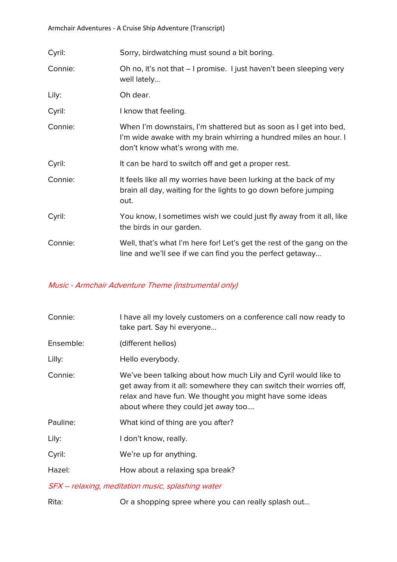| Cyril:  | Sorry, birdwatching must sound a bit boring.                                                                                                                              |
|---------|---------------------------------------------------------------------------------------------------------------------------------------------------------------------------|
| Connie: | Oh no, it's not that – I promise. I just haven't been sleeping very<br>well lately                                                                                        |
| Lily:   | Oh dear.                                                                                                                                                                  |
| Cyril:  | I know that feeling.                                                                                                                                                      |
| Connie: | When I'm downstairs, I'm shattered but as soon as I get into bed,<br>I'm wide awake with my brain whirring a hundred miles an hour. I<br>don't know what's wrong with me. |
| Cyril:  | It can be hard to switch off and get a proper rest.                                                                                                                       |
| Connie: | It feels like all my worries have been lurking at the back of my<br>brain all day, waiting for the lights to go down before jumping<br>out.                               |
| Cyril:  | You know, I sometimes wish we could just fly away from it all, like<br>the birds in our garden.                                                                           |
| Connie: | Well, that's what I'm here for! Let's get the rest of the gang on the<br>line and we'll see if we can find you the perfect getaway                                        |

## Music - Armchair Adventure Theme (instrumental only)

| Connie:   | I have all my lovely customers on a conference call now ready to<br>take part. Say hi everyone                                                                                                                                          |
|-----------|-----------------------------------------------------------------------------------------------------------------------------------------------------------------------------------------------------------------------------------------|
| Ensemble: | (different hellos)                                                                                                                                                                                                                      |
| Lilly:    | Hello everybody.                                                                                                                                                                                                                        |
| Connie:   | We've been talking about how much Lily and Cyril would like to<br>get away from it all: somewhere they can switch their worries off,<br>relax and have fun. We thought you might have some ideas<br>about where they could jet away too |
| Pauline:  | What kind of thing are you after?                                                                                                                                                                                                       |
| Lily:     | I don't know, really.                                                                                                                                                                                                                   |
| Cyril:    | We're up for anything.                                                                                                                                                                                                                  |
| Hazel:    | How about a relaxing spa break?                                                                                                                                                                                                         |
|           | CEV relation modifician music enlaching unter                                                                                                                                                                                           |

SFX – relaxing, meditation music, splashing water

Rita: Or a shopping spree where you can really splash out…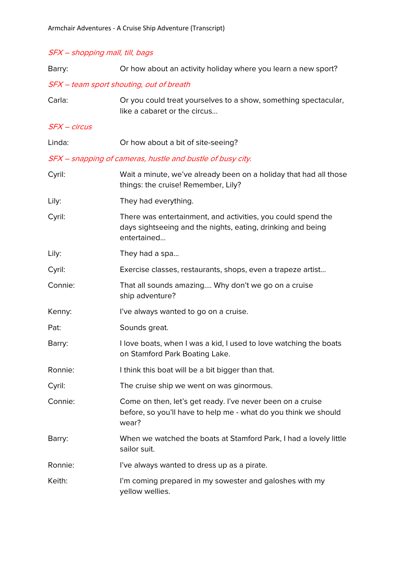## SFX – shopping mall, till, bags

| Barry:         | Or how about an activity holiday where you learn a new sport?                                                                              |
|----------------|--------------------------------------------------------------------------------------------------------------------------------------------|
|                | SFX - team sport shouting, out of breath                                                                                                   |
| Carla:         | Or you could treat yourselves to a show, something spectacular,<br>like a cabaret or the circus                                            |
| $SFX - circus$ |                                                                                                                                            |
| Linda:         | Or how about a bit of site-seeing?                                                                                                         |
|                | SFX - snapping of cameras, hustle and bustle of busy city.                                                                                 |
| Cyril:         | Wait a minute, we've already been on a holiday that had all those<br>things: the cruise! Remember, Lily?                                   |
| Lily:          | They had everything.                                                                                                                       |
| Cyril:         | There was entertainment, and activities, you could spend the<br>days sightseeing and the nights, eating, drinking and being<br>entertained |
| Lily:          | They had a spa                                                                                                                             |
| Cyril:         | Exercise classes, restaurants, shops, even a trapeze artist                                                                                |
| Connie:        | That all sounds amazing Why don't we go on a cruise<br>ship adventure?                                                                     |
| Kenny:         | I've always wanted to go on a cruise.                                                                                                      |
| Pat:           | Sounds great.                                                                                                                              |
| Barry:         | I love boats, when I was a kid, I used to love watching the boats<br>on Stamford Park Boating Lake.                                        |
| Ronnie:        | I think this boat will be a bit bigger than that.                                                                                          |
| Cyril:         | The cruise ship we went on was ginormous.                                                                                                  |
| Connie:        | Come on then, let's get ready. I've never been on a cruise<br>before, so you'll have to help me - what do you think we should<br>wear?     |
| Barry:         | When we watched the boats at Stamford Park, I had a lovely little<br>sailor suit.                                                          |
| Ronnie:        | I've always wanted to dress up as a pirate.                                                                                                |
| Keith:         | I'm coming prepared in my sowester and galoshes with my<br>yellow wellies.                                                                 |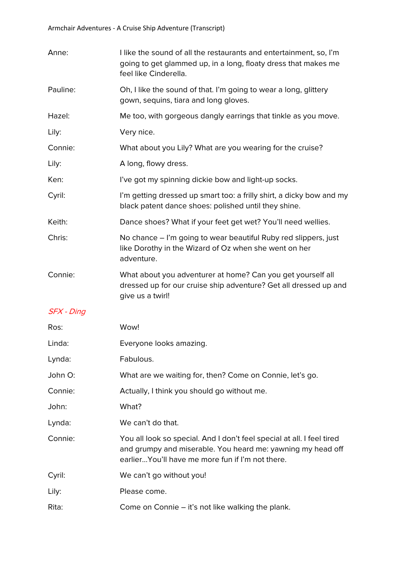| Anne:      | I like the sound of all the restaurants and entertainment, so, I'm<br>going to get glammed up, in a long, floaty dress that makes me<br>feel like Cinderella.                              |
|------------|--------------------------------------------------------------------------------------------------------------------------------------------------------------------------------------------|
| Pauline:   | Oh, I like the sound of that. I'm going to wear a long, glittery<br>gown, sequins, tiara and long gloves.                                                                                  |
| Hazel:     | Me too, with gorgeous dangly earrings that tinkle as you move.                                                                                                                             |
| Lily:      | Very nice.                                                                                                                                                                                 |
| Connie:    | What about you Lily? What are you wearing for the cruise?                                                                                                                                  |
| Lily:      | A long, flowy dress.                                                                                                                                                                       |
| Ken:       | I've got my spinning dickie bow and light-up socks.                                                                                                                                        |
| Cyril:     | I'm getting dressed up smart too: a frilly shirt, a dicky bow and my<br>black patent dance shoes: polished until they shine.                                                               |
| Keith:     | Dance shoes? What if your feet get wet? You'll need wellies.                                                                                                                               |
| Chris:     | No chance – I'm going to wear beautiful Ruby red slippers, just<br>like Dorothy in the Wizard of Oz when she went on her<br>adventure.                                                     |
| Connie:    | What about you adventurer at home? Can you get yourself all<br>dressed up for our cruise ship adventure? Get all dressed up and<br>give us a twirl!                                        |
| SFX - Ding |                                                                                                                                                                                            |
| Ros:       | Wow!                                                                                                                                                                                       |
| Linda:     | Everyone looks amazing.                                                                                                                                                                    |
| Lynda:     | Fabulous.                                                                                                                                                                                  |
| John O:    | What are we waiting for, then? Come on Connie, let's go.                                                                                                                                   |
| Connie:    | Actually, I think you should go without me.                                                                                                                                                |
| John:      | What?                                                                                                                                                                                      |
| Lynda:     | We can't do that.                                                                                                                                                                          |
| Connie:    | You all look so special. And I don't feel special at all. I feel tired<br>and grumpy and miserable. You heard me: yawning my head off<br>earlier You'll have me more fun if I'm not there. |
| Cyril:     | We can't go without you!                                                                                                                                                                   |
| Lily:      | Please come.                                                                                                                                                                               |
| Rita:      | Come on Connie – it's not like walking the plank.                                                                                                                                          |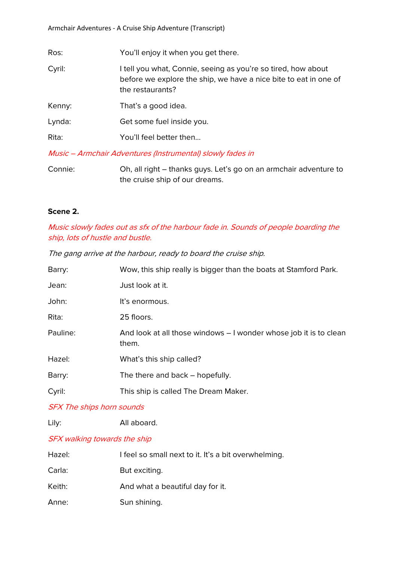| Ros:   | You'll enjoy it when you get there.                                                                                                                   |
|--------|-------------------------------------------------------------------------------------------------------------------------------------------------------|
| Cyril: | I tell you what, Connie, seeing as you're so tired, how about<br>before we explore the ship, we have a nice bite to eat in one of<br>the restaurants? |
| Kenny: | That's a good idea.                                                                                                                                   |
| Lynda: | Get some fuel inside you.                                                                                                                             |
| Rita:  | You'll feel better then                                                                                                                               |
|        |                                                                                                                                                       |

Music – Armchair Adventures (Instrumental) slowly fades in

Connie: Oh, all right – thanks guys. Let's go on an armchair adventure to the cruise ship of our dreams.

## **Scene 2.**

Music slowly fades out as sfx of the harbour fade in. Sounds of people boarding the ship, lots of hustle and bustle.

The gang arrive at the harbour, ready to board the cruise ship.

| Barry:   | Wow, this ship really is bigger than the boats at Stamford Park.           |
|----------|----------------------------------------------------------------------------|
| Jean:    | Just look at it.                                                           |
| John:    | It's enormous.                                                             |
| Rita:    | 25 floors.                                                                 |
| Pauline: | And look at all those windows – I wonder whose job it is to clean<br>them. |
| Hazel:   | What's this ship called?                                                   |
| Barry:   | The there and back – hopefully.                                            |
| Cyril:   | This ship is called The Dream Maker.                                       |
|          |                                                                            |

SFX The ships horn sounds

Lily: All aboard.

### SFX walking towards the ship

| Hazel: | I feel so small next to it. It's a bit overwhelming. |
|--------|------------------------------------------------------|
| Carla: | But exciting.                                        |
| Keith: | And what a beautiful day for it.                     |
| Anne:  | Sun shining.                                         |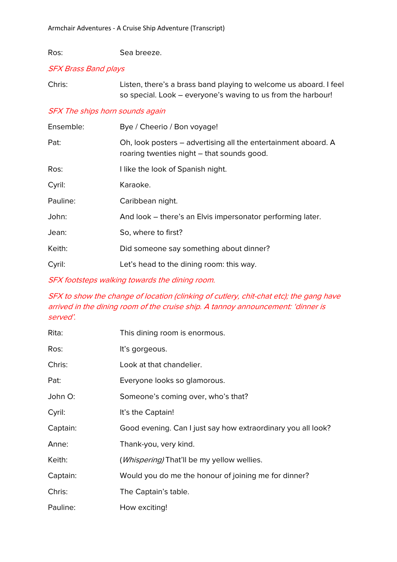Ros: Sea breeze.

### SFX Brass Band plays

| Chris: | Listen, there's a brass band playing to welcome us aboard. I feel |
|--------|-------------------------------------------------------------------|
|        | so special. Look – everyone's waving to us from the harbour!      |

### SFX The ships horn sounds again

| Ensemble: | Bye / Cheerio / Bon voyage!                                                                                  |
|-----------|--------------------------------------------------------------------------------------------------------------|
| Pat:      | Oh, look posters – advertising all the entertainment aboard. A<br>roaring twenties night – that sounds good. |
| Ros:      | I like the look of Spanish night.                                                                            |
| Cyril:    | Karaoke.                                                                                                     |
| Pauline:  | Caribbean night.                                                                                             |
| John:     | And look – there's an Elvis impersonator performing later.                                                   |
| Jean:     | So, where to first?                                                                                          |
| Keith:    | Did someone say something about dinner?                                                                      |
| Cyril:    | Let's head to the dining room: this way.                                                                     |

SFX footsteps walking towards the dining room.

## SFX to show the change of location (clinking of cutlery, chit-chat etc); the gang have arrived in the dining room of the cruise ship. A tannoy announcement: 'dinner is served'.

| Rita:    | This dining room is enormous.                                |
|----------|--------------------------------------------------------------|
| Ros:     | It's gorgeous.                                               |
| Chris:   | Look at that chandelier.                                     |
| Pat:     | Everyone looks so glamorous.                                 |
| John O:  | Someone's coming over, who's that?                           |
| Cyril:   | It's the Captain!                                            |
| Captain: | Good evening. Can I just say how extraordinary you all look? |
| Anne:    | Thank-you, very kind.                                        |
| Keith:   | ( <i>Whispering</i> ) That'll be my yellow wellies.          |
| Captain: | Would you do me the honour of joining me for dinner?         |
| Chris:   | The Captain's table.                                         |
| Pauline: | How exciting!                                                |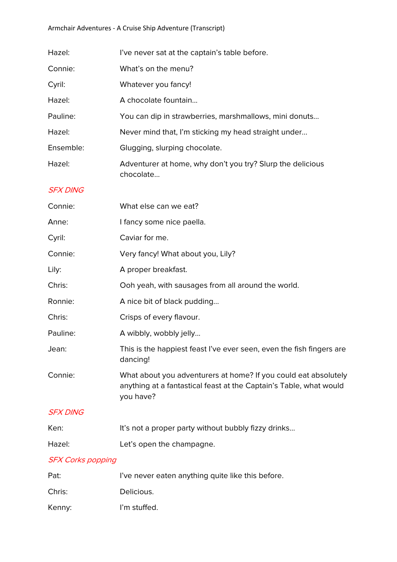| Hazel:                   | I've never sat at the captain's table before.                                                                                                      |
|--------------------------|----------------------------------------------------------------------------------------------------------------------------------------------------|
| Connie:                  | What's on the menu?                                                                                                                                |
| Cyril:                   | Whatever you fancy!                                                                                                                                |
| Hazel:                   | A chocolate fountain                                                                                                                               |
| Pauline:                 | You can dip in strawberries, marshmallows, mini donuts                                                                                             |
| Hazel:                   | Never mind that, I'm sticking my head straight under                                                                                               |
| Ensemble:                | Glugging, slurping chocolate.                                                                                                                      |
| Hazel:                   | Adventurer at home, why don't you try? Slurp the delicious<br>chocolate                                                                            |
| <b>SFX DING</b>          |                                                                                                                                                    |
| Connie:                  | What else can we eat?                                                                                                                              |
| Anne:                    | I fancy some nice paella.                                                                                                                          |
| Cyril:                   | Caviar for me.                                                                                                                                     |
| Connie:                  | Very fancy! What about you, Lily?                                                                                                                  |
| Lily:                    | A proper breakfast.                                                                                                                                |
| Chris:                   | Ooh yeah, with sausages from all around the world.                                                                                                 |
| Ronnie:                  | A nice bit of black pudding                                                                                                                        |
| Chris:                   | Crisps of every flavour.                                                                                                                           |
| Pauline:                 | A wibbly, wobbly jelly                                                                                                                             |
| Jean:                    | This is the happiest feast I've ever seen, even the fish fingers are<br>dancing!                                                                   |
| Connie:                  | What about you adventurers at home? If you could eat absolutely<br>anything at a fantastical feast at the Captain's Table, what would<br>you have? |
| <b>SFX DING</b>          |                                                                                                                                                    |
| Ken:                     | It's not a proper party without bubbly fizzy drinks                                                                                                |
| Hazel:                   | Let's open the champagne.                                                                                                                          |
| <b>SFX Corks popping</b> |                                                                                                                                                    |

| Pat:   | I've never eaten anything quite like this before. |
|--------|---------------------------------------------------|
| Chris: | Delicious.                                        |
| Kenny: | I'm stuffed.                                      |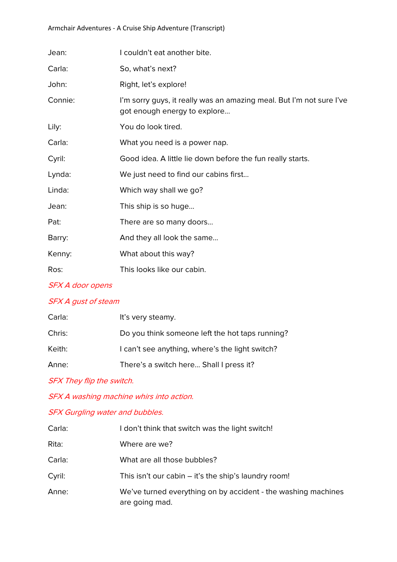### Armchair Adventures - A Cruise Ship Adventure (Transcript)

| Jean:   | I couldn't eat another bite.                                                                         |
|---------|------------------------------------------------------------------------------------------------------|
| Carla:  | So, what's next?                                                                                     |
| John:   | Right, let's explore!                                                                                |
| Connie: | I'm sorry guys, it really was an amazing meal. But I'm not sure I've<br>got enough energy to explore |
| Lily:   | You do look tired.                                                                                   |
| Carla:  | What you need is a power nap.                                                                        |
| Cyril:  | Good idea. A little lie down before the fun really starts.                                           |
| Lynda:  | We just need to find our cabins first                                                                |
| Linda:  | Which way shall we go?                                                                               |
| Jean:   | This ship is so huge                                                                                 |
| Pat:    | There are so many doors                                                                              |
| Barry:  | And they all look the same                                                                           |
| Kenny:  | What about this way?                                                                                 |
| Ros:    | This looks like our cabin.                                                                           |

# SFX A door opens

## SFX A gust of steam

| Carla: | It's very steamy.                               |
|--------|-------------------------------------------------|
| Chris: | Do you think someone left the hot taps running? |
| Keith: | I can't see anything, where's the light switch? |
| Anne:  | There's a switch here Shall I press it?         |

SFX They flip the switch.

SFX A washing machine whirs into action.

# SFX Gurgling water and bubbles.

| Carla: | I don't think that switch was the light switch!                                 |
|--------|---------------------------------------------------------------------------------|
| Rita:  | Where are we?                                                                   |
| Carla: | What are all those bubbles?                                                     |
| Cyril: | This isn't our cabin $-$ it's the ship's laundry room!                          |
| Anne:  | We've turned everything on by accident - the washing machines<br>are going mad. |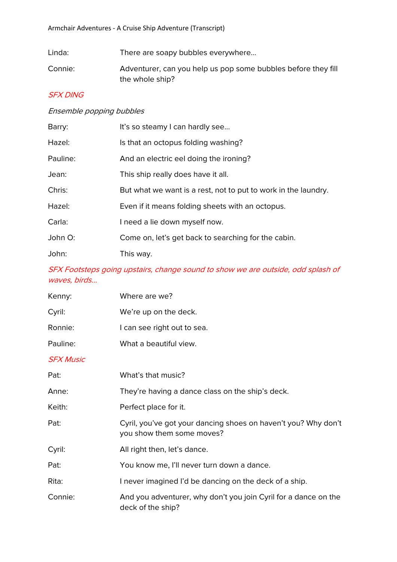Linda: There are soapy bubbles everywhere...

Connie: Adventurer, can you help us pop some bubbles before they fill the whole ship?

## SFX DING

#### Ensemble popping bubbles

| Barry:   | It's so steamy I can hardly see                                |
|----------|----------------------------------------------------------------|
| Hazel:   | Is that an octopus folding washing?                            |
| Pauline: | And an electric eel doing the ironing?                         |
| Jean:    | This ship really does have it all.                             |
| Chris:   | But what we want is a rest, not to put to work in the laundry. |
| Hazel:   | Even if it means folding sheets with an octopus.               |
| Carla:   | I need a lie down myself now.                                  |
| John O:  | Come on, let's get back to searching for the cabin.            |
| John:    | This way.                                                      |

# SFX Footsteps going upstairs, change sound to show we are outside, odd splash of waves, birds…

| Kenny:           | Where are we?                                                                               |
|------------------|---------------------------------------------------------------------------------------------|
| Cyril:           | We're up on the deck.                                                                       |
| Ronnie:          | I can see right out to sea.                                                                 |
| Pauline:         | What a beautiful view.                                                                      |
| <b>SFX Music</b> |                                                                                             |
| Pat:             | What's that music?                                                                          |
| Anne:            | They're having a dance class on the ship's deck.                                            |
| Keith:           | Perfect place for it.                                                                       |
| Pat:             | Cyril, you've got your dancing shoes on haven't you? Why don't<br>you show them some moves? |
| Cyril:           | All right then, let's dance.                                                                |
| Pat:             | You know me, I'll never turn down a dance.                                                  |
| Rita:            | I never imagined I'd be dancing on the deck of a ship.                                      |
| Connie:          | And you adventurer, why don't you join Cyril for a dance on the<br>deck of the ship?        |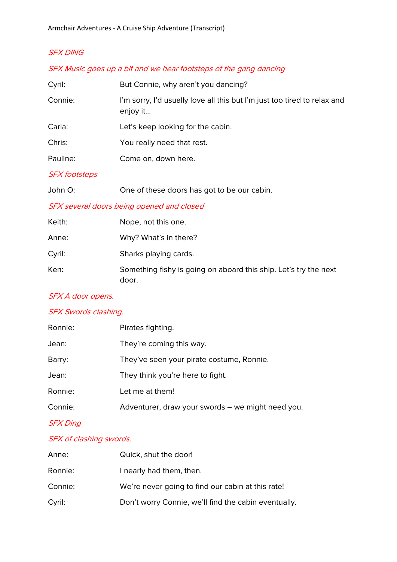# SFX DING

### SFX Music goes up a bit and we hear footsteps of the gang dancing

| Cyril:   | But Connie, why aren't you dancing?                                                  |
|----------|--------------------------------------------------------------------------------------|
| Connie:  | I'm sorry, I'd usually love all this but I'm just too tired to relax and<br>enjoy it |
| Carla:   | Let's keep looking for the cabin.                                                    |
| Chris:   | You really need that rest.                                                           |
| Pauline: | Come on, down here.                                                                  |

### SFX footsteps

| John O: | One of these doors has got to be our cabin. |
|---------|---------------------------------------------|
|---------|---------------------------------------------|

## SFX several doors being opened and closed

| Keith: | Nope, not this one.                                                       |
|--------|---------------------------------------------------------------------------|
| Anne:  | Why? What's in there?                                                     |
| Cyril: | Sharks playing cards.                                                     |
| Ken:   | Something fishy is going on aboard this ship. Let's try the next<br>door. |

### SFX A door opens.

# SFX Swords clashing.

| Ronnie: | Pirates fighting.                                 |
|---------|---------------------------------------------------|
| Jean:   | They're coming this way.                          |
| Barry:  | They've seen your pirate costume, Ronnie.         |
| Jean:   | They think you're here to fight.                  |
| Ronnie: | Let me at them!                                   |
| Connie: | Adventurer, draw your swords – we might need you. |
|         |                                                   |

# SFX Ding

### SFX of clashing swords.

| Anne:   | Quick, shut the door!                                |
|---------|------------------------------------------------------|
| Ronnie: | I nearly had them, then.                             |
| Connie: | We're never going to find our cabin at this rate!    |
| Cyril:  | Don't worry Connie, we'll find the cabin eventually. |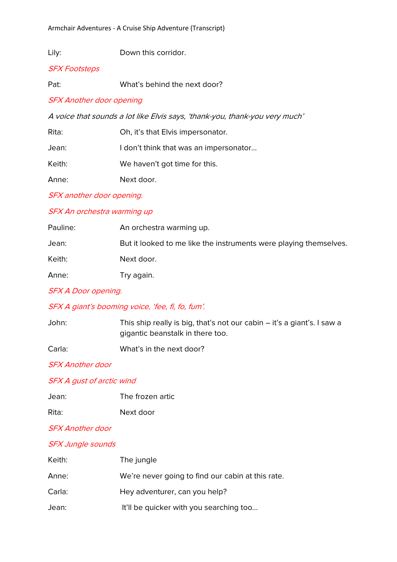Lily: Down this corridor.

#### SFX Footsteps

Pat: What's behind the next door?

#### SFX Another door opening

A voice that sounds a lot like Elvis says, 'thank-you, thank-you very much'

| Rita:  | Oh, it's that Elvis impersonator.      |
|--------|----------------------------------------|
| Jean:  | I don't think that was an impersonator |
| Keith: | We haven't got time for this.          |
| Anne:  | Next door.                             |

SFX another door opening.

#### SFX An orchestra warming up

| Pauline: | An orchestra warming up.                                          |
|----------|-------------------------------------------------------------------|
| Jean:    | But it looked to me like the instruments were playing themselves. |
| Keith:   | Next door.                                                        |
| Anne:    | Try again.                                                        |

## SFX A Door opening.

### SFX A giant's booming voice, 'fee, fi, fo, fum'.

| John: | This ship really is big, that's not our cabin – it's a giant's. I saw a |
|-------|-------------------------------------------------------------------------|
|       | gigantic beanstalk in there too.                                        |
|       |                                                                         |

Carla: What's in the next door?

SFX Another door

### SFX A gust of arctic wind

| Jean: | The frozen artic |
|-------|------------------|
|       |                  |

| Rita:<br>Next door |
|--------------------|
|                    |

#### SFX Another door

### SFX Jungle sounds

| Keith: | The jungle                                        |
|--------|---------------------------------------------------|
| Anne:  | We're never going to find our cabin at this rate. |
| Carla: | Hey adventurer, can you help?                     |
| Jean:  | It'll be quicker with you searching too           |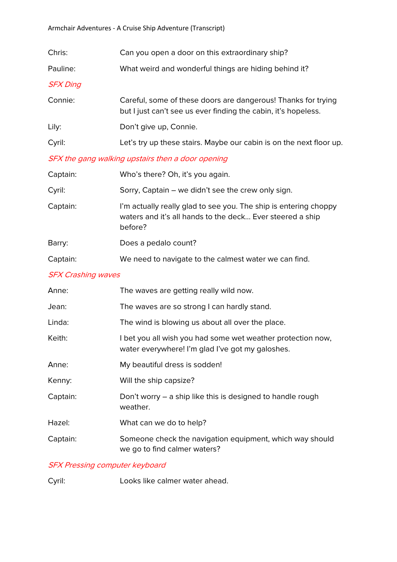| Chris:          | Can you open a door on this extraordinary ship?                                                                                 |
|-----------------|---------------------------------------------------------------------------------------------------------------------------------|
| Pauline:        | What weird and wonderful things are hiding behind it?                                                                           |
| <b>SFX Ding</b> |                                                                                                                                 |
| Connie:         | Careful, some of these doors are dangerous! Thanks for trying<br>but I just can't see us ever finding the cabin, it's hopeless. |
| Lily:           | Don't give up, Connie.                                                                                                          |
| Cyril:          | Let's try up these stairs. Maybe our cabin is on the next floor up.                                                             |

## SFX the gang walking upstairs then a door opening

| Captain: | Who's there? Oh, it's you again.                                                                                                         |
|----------|------------------------------------------------------------------------------------------------------------------------------------------|
| Cyril:   | Sorry, Captain – we didn't see the crew only sign.                                                                                       |
| Captain: | I'm actually really glad to see you. The ship is entering choppy<br>waters and it's all hands to the deck Ever steered a ship<br>before? |
| Barry:   | Does a pedalo count?                                                                                                                     |
| Captain: | We need to navigate to the calmest water we can find.                                                                                    |
|          |                                                                                                                                          |

# SFX Crashing waves

| Anne:    | The waves are getting really wild now.                                                                          |
|----------|-----------------------------------------------------------------------------------------------------------------|
| Jean:    | The waves are so strong I can hardly stand.                                                                     |
| Linda:   | The wind is blowing us about all over the place.                                                                |
| Keith:   | I bet you all wish you had some wet weather protection now,<br>water everywhere! I'm glad I've got my galoshes. |
| Anne:    | My beautiful dress is sodden!                                                                                   |
| Kenny:   | Will the ship capsize?                                                                                          |
| Captain: | Don't worry – a ship like this is designed to handle rough<br>weather.                                          |
| Hazel:   | What can we do to help?                                                                                         |
| Captain: | Someone check the navigation equipment, which way should<br>we go to find calmer waters?                        |

## SFX Pressing computer keyboard

Cyril: Looks like calmer water ahead.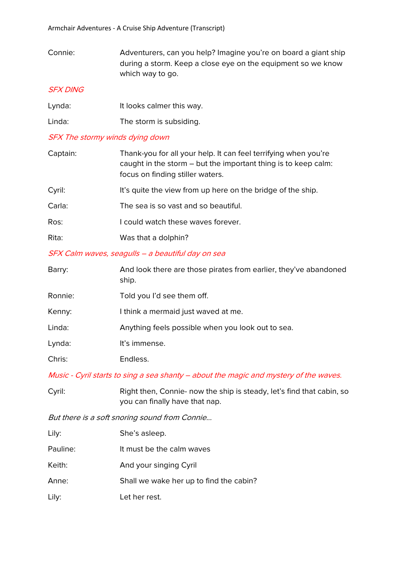Connie: Adventurers, can you help? Imagine you're on board a giant ship during a storm. Keep a close eye on the equipment so we know which way to go.

### SFX DING

| Lynda: | It looks calmer this way. |
|--------|---------------------------|
| Linda: | The storm is subsiding.   |

### SFX The stormy winds dying down

| Captain: | Thank-you for all your help. It can feel terrifying when you're<br>caught in the storm – but the important thing is to keep calm:<br>focus on finding stiller waters. |
|----------|-----------------------------------------------------------------------------------------------------------------------------------------------------------------------|
| Cyril:   | It's quite the view from up here on the bridge of the ship.                                                                                                           |
| Carla:   | The sea is so vast and so beautiful.                                                                                                                                  |
| Ros:     | I could watch these waves forever.                                                                                                                                    |
| Rita:    | Was that a dolphin?                                                                                                                                                   |

### SFX Calm waves, seagulls – a beautiful day on sea

| Barry:  | And look there are those pirates from earlier, they've abandoned<br>ship. |
|---------|---------------------------------------------------------------------------|
| Ronnie: | Told you I'd see them off.                                                |
| Kenny:  | I think a mermaid just waved at me.                                       |
| Linda:  | Anything feels possible when you look out to sea.                         |
| Lynda:  | It's immense.                                                             |
| Chris:  | Endless.                                                                  |
|         |                                                                           |

Music - Cyril starts to sing a sea shanty – about the magic and mystery of the waves.

| Cyril: | Right then, Connie- now the ship is steady, let's find that cabin, so |
|--------|-----------------------------------------------------------------------|
|        | you can finally have that nap.                                        |

But there is a soft snoring sound from Connie...

| Lily:    | She's asleep.                           |
|----------|-----------------------------------------|
| Pauline: | It must be the calm waves               |
| Keith:   | And your singing Cyril                  |
| Anne:    | Shall we wake her up to find the cabin? |
| Lily:    | Let her rest.                           |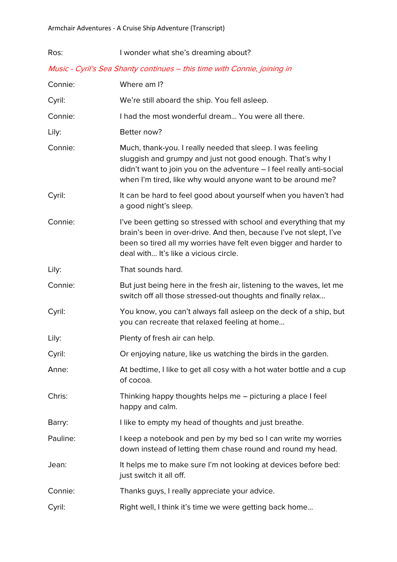| Ros:     | I wonder what she's dreaming about?                                                                                                                                                                                                                             |
|----------|-----------------------------------------------------------------------------------------------------------------------------------------------------------------------------------------------------------------------------------------------------------------|
|          | Music - Cyril's Sea Shanty continues - this time with Connie, joining in                                                                                                                                                                                        |
| Connie:  | Where am I?                                                                                                                                                                                                                                                     |
| Cyril:   | We're still aboard the ship. You fell asleep.                                                                                                                                                                                                                   |
| Connie:  | I had the most wonderful dream You were all there.                                                                                                                                                                                                              |
| Lily:    | Better now?                                                                                                                                                                                                                                                     |
| Connie:  | Much, thank-you. I really needed that sleep. I was feeling<br>sluggish and grumpy and just not good enough. That's why I<br>didn't want to join you on the adventure - I feel really anti-social<br>when I'm tired, like why would anyone want to be around me? |
| Cyril:   | It can be hard to feel good about yourself when you haven't had<br>a good night's sleep.                                                                                                                                                                        |
| Connie:  | I've been getting so stressed with school and everything that my<br>brain's been in over-drive. And then, because I've not slept, I've<br>been so tired all my worries have felt even bigger and harder to<br>deal with It's like a vicious circle.             |
| Lily:    | That sounds hard.                                                                                                                                                                                                                                               |
| Connie:  | But just being here in the fresh air, listening to the waves, let me<br>switch off all those stressed-out thoughts and finally relax                                                                                                                            |
| Cyril:   | You know, you can't always fall asleep on the deck of a ship, but<br>you can recreate that relaxed feeling at home                                                                                                                                              |
| Lily:    | Plenty of fresh air can help.                                                                                                                                                                                                                                   |
| Cyril:   | Or enjoying nature, like us watching the birds in the garden.                                                                                                                                                                                                   |
| Anne:    | At bedtime, I like to get all cosy with a hot water bottle and a cup<br>of cocoa.                                                                                                                                                                               |
| Chris:   | Thinking happy thoughts helps me - picturing a place I feel<br>happy and calm.                                                                                                                                                                                  |
| Barry:   | I like to empty my head of thoughts and just breathe.                                                                                                                                                                                                           |
| Pauline: | I keep a notebook and pen by my bed so I can write my worries<br>down instead of letting them chase round and round my head.                                                                                                                                    |
| Jean:    | It helps me to make sure I'm not looking at devices before bed:<br>just switch it all off.                                                                                                                                                                      |
| Connie:  | Thanks guys, I really appreciate your advice.                                                                                                                                                                                                                   |
| Cyril:   | Right well, I think it's time we were getting back home                                                                                                                                                                                                         |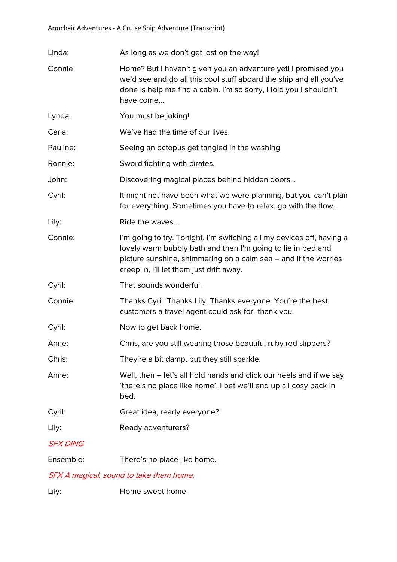Linda: As long as we don't get lost on the way!

- Connie Home? But I haven't given you an adventure yet! I promised you we'd see and do all this cool stuff aboard the ship and all you've done is help me find a cabin. I'm so sorry, I told you I shouldn't have come...
- Lynda: You must be joking!

Carla: We've had the time of our lives.

Pauline: Seeing an octopus get tangled in the washing.

Ronnie: Sword fighting with pirates.

John: Discovering magical places behind hidden doors...

Cyril: It might not have been what we were planning, but you can't plan for everything. Sometimes you have to relax, go with the flow...

Lily: Ride the waves...

Connie: I'm going to try. Tonight, I'm switching all my devices off, having a lovely warm bubbly bath and then I'm going to lie in bed and picture sunshine, shimmering on a calm sea – and if the worries creep in, I'll let them just drift away.

Cyril: That sounds wonderful.

Connie: Thanks Cyril. Thanks Lily. Thanks everyone. You're the best customers a travel agent could ask for- thank you.

- Cyril: Now to get back home.
- Anne: Chris, are you still wearing those beautiful ruby red slippers?
- Chris: They're a bit damp, but they still sparkle.
- Anne: Well, then let's all hold hands and click our heels and if we say 'there's no place like home', I bet we'll end up all cosy back in bed.
- Cyril: Great idea, ready everyone?
- Lily: Ready adventurers?

## SFX DING

Ensemble: There's no place like home.

### SFX A magical, sound to take them home.

Lily: **Home** sweet home.